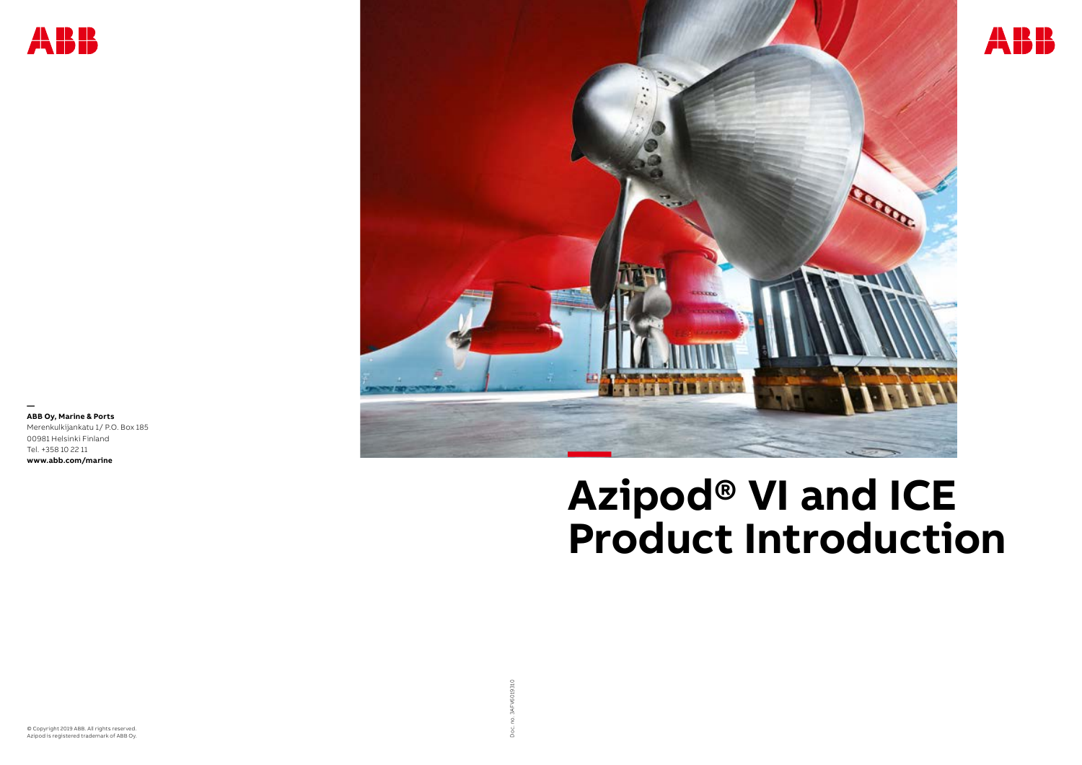Doc. no. 3AFV6019310

**— ABB Oy, Marine & Ports** Merenkulkijankatu 1/ P.O. Box 185 00981 Helsinki Finland Tel. +358 10 22 11 **www.abb.com/marine**

© Copyright 2019 ABB. All rights reserved. Azipod is registered trademark of ABB Oy.







## **Azipod® VI and ICE Product Introduction**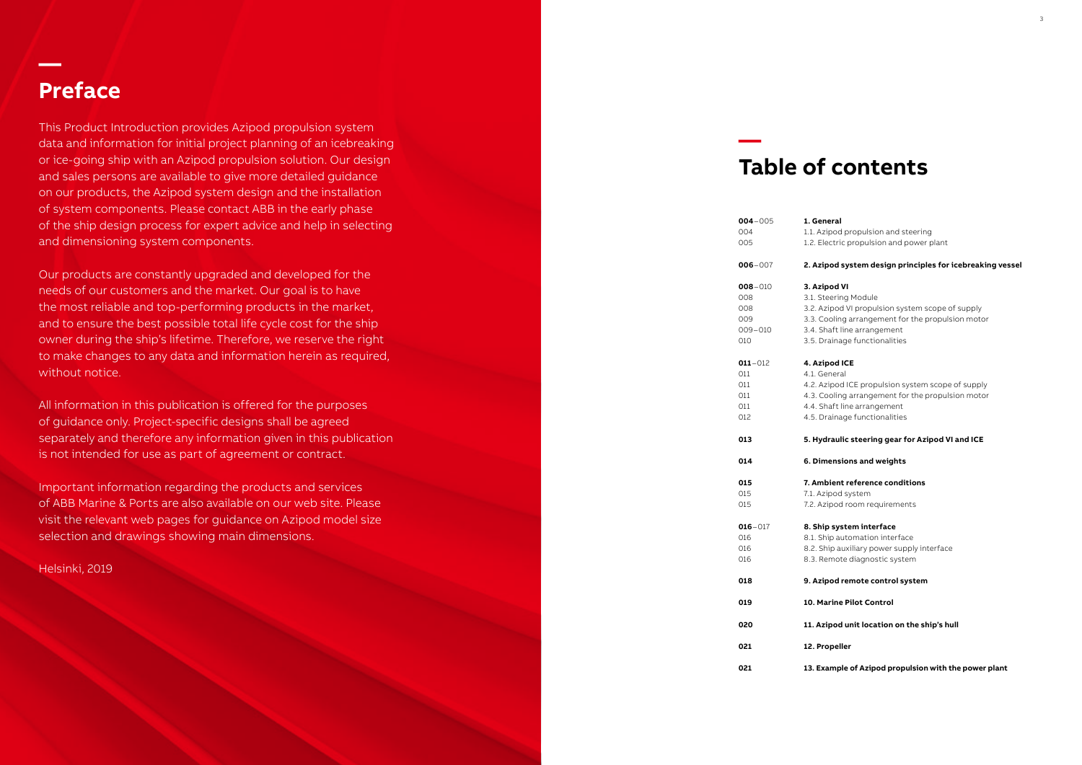## **Preface**

This Product Introduction provides Azipod propulsion system data and information for initial project planning of an icebreaking or ice-going ship with an Azipod propulsion solution. Our design and sales persons are available to give more detailed guidance on our products, the Azipod system design and the installation of system components. Please contact ABB in the early phase of the ship design process for expert advice and help in selecting and dimensioning system components.

Our products are constantly upgraded and developed for the needs of our customers and the market. Our goal is to have the most reliable and top-performing products in the market, and to ensure the best possible total life cycle cost for the ship owner during the ship's lifetime. Therefore, we reserve the right to make changes to any data and information herein as required, without notice.

All information in this publication is offered for the purposes of guidance only. Project-specific designs shall be agreed separately and therefore any information given in this publication is not intended for use as part of agreement or contract.

> 0157.1. Azipod system 2. Azipod room requirements

Important information regarding the products and services of ABB Marine & Ports are also available on our web site. Please visit the relevant web pages for guidance on Azipod model size selection and drawings showing main dimensions.

Helsinki, 2019

**—** 

## **Table of contents**

| 004<br>005                                             | <br>1.1<br>$1.\overline{2}$                                  |
|--------------------------------------------------------|--------------------------------------------------------------|
| $006 - 007$                                            | 2. .                                                         |
| $008 - 010$<br>008<br>008<br>009<br>$009 - 010$<br>010 | 3.<br>3.1<br>$3.\tilde{c}$<br>$3.\overline{3}$<br>3.4<br>3.5 |
| $011 - 012$<br>011<br>011<br>011<br>011<br>012         | 4.<br>4.1<br>4.2<br>4.3<br>4.4<br>4.5                        |
| 013                                                    | 5.                                                           |
| 014                                                    | 6.                                                           |
|                                                        |                                                              |
| 015<br>015<br>015                                      | $\overline{7}$ .<br>7.1<br>7.2                               |
| $016 - 017$<br>016<br>016<br>016                       | 8.<br>8.1<br>$8.\tilde{c}$<br>$8.\overline{3}$               |
| 018                                                    | 9.                                                           |
| 019                                                    | 10                                                           |
| 020                                                    | 11                                                           |
| 021                                                    | 12                                                           |
| 021                                                    | 13                                                           |

#### **004**–005 **1. General**

. Azipod propulsion and steering d. Electric propulsion and power plant

#### **006**–007 **2. Azipod system design principles for icebreaking vessel**

#### **008**–010 **3. Azipod VI**

- **.** Steering Module
- 2. Azipod VI propulsion system scope of supply
- 3. Cooling arrangement for the propulsion motor
- 4. Shaft line arrangement
- 5. Drainage functionalities

#### **011**–012 **4. Azipod ICE**

- l. General
- 2. Azipod ICE propulsion system scope of supply
- 3. Cooling arrangement for the propulsion motor
- 4. Shaft line arrangement
- 5. Drainage functionalities

#### **013 5. Hydraulic steering gear for Azipod VI and ICE**

#### **014 6. Dimensions and weights**

#### **015 7. Ambient reference conditions**

#### **016**–017 **8. Ship system interface**

- 0168.1. Ship automation interface
- 2. Ship auxiliary power supply interface
- 0168.3. Remote diagnostic system

#### **018 9. Azipod remote control system**

**019 10. Marine Pilot Control**

#### **020 11. Azipod unit location on the ship's hull**

**021 12. Propeller**

#### **Example of Azipod propulsion with the power plant**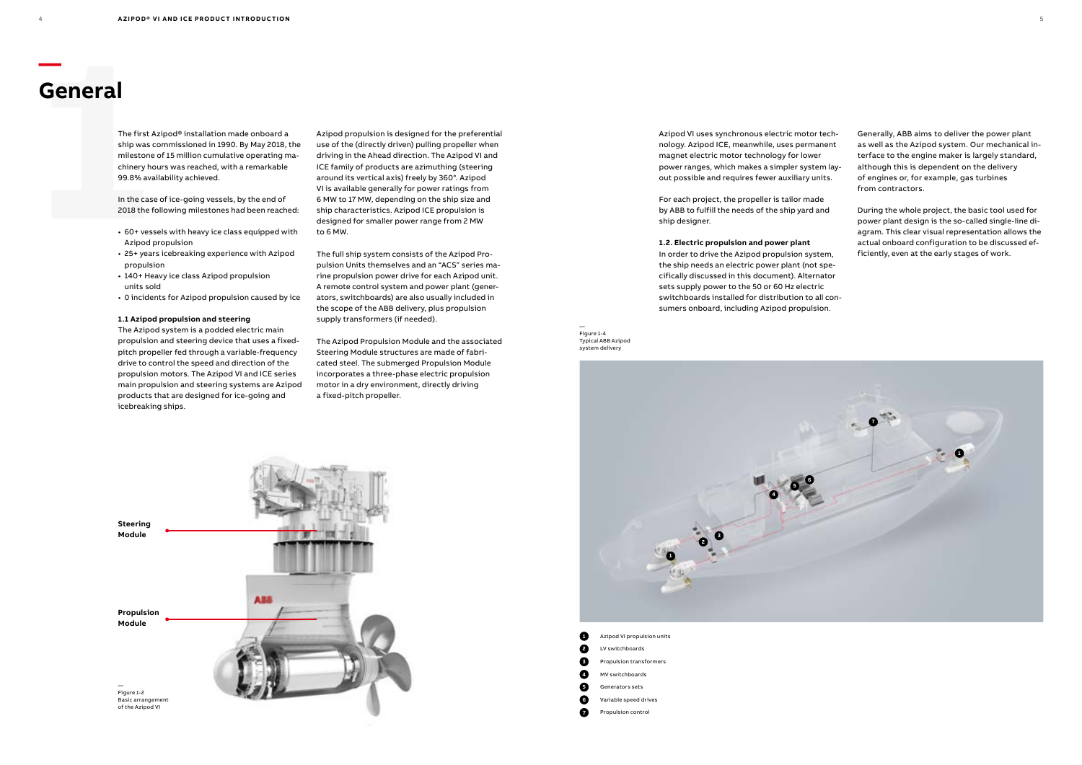# **11 The first All The first All Ship was definitely here**<br> **11 The first All Ship was definitely here**<br>
199.8% avails in the case<br>
2018 the f<br>
160+ ves<br>
Azipod<br>
160+ ves<br>
25+ yeal<br>
propuls **General**

**—**

The first Azipod® installation made onboard a ship was commissioned in 1990. By May 2018, the milestone of 15 million cumulative operating machinery hours was reached, with a remarkable 99.8% availability achieved.

In the case of ice-going vessels, by the end of 2018 the following milestones had been reached:

- 60+ vessels with heavy ice class equipped with Azipod propulsion
- 25+ years icebreaking experience with Azipod propulsion
- 140+ Heavy ice class Azipod propulsion units sold
- 0 incidents for Azipod propulsion caused by ice

#### **1.1 Azipod propulsion and steering**

The Azipod system is a podded electric main propulsion and steering device that uses a fixedpitch propeller fed through a variable-frequency drive to control the speed and direction of the propulsion motors. The Azipod VI and ICE series main propulsion and steering systems are Azipod products that are designed for ice-going and icebreaking ships.

Azipod VI uses synchronous electric motor technology. Azipod ICE, meanwhile, uses permanent magnet electric motor technology for lower power ranges, which makes a simpler system layout possible and requires fewer auxiliary units.

For each project, the propeller is tailor made by ABB to fulfill the needs of the ship yard and ship designer.

#### **1.2. Electric propulsion and power plant**

In order to drive the Azipod propulsion system, the ship needs an electric power plant (not specifically discussed in this document). Alternator sets supply power to the 50 or 60 Hz electric switchboards installed for distribution to all consumers onboard, including Azipod propulsion.

Azipod propulsion is designed for the preferential use of the (directly driven) pulling propeller when driving in the Ahead direction. The Azipod VI and ICE family of products are azimuthing (steering around its vertical axis) freely by 360°. Azipod VI is available generally for power ratings from 6 MW to 17 MW, depending on the ship size and ship characteristics. Azipod ICE propulsion is designed for smaller power range from 2 MW to 6 MW.

The full ship system consists of the Azipod Propulsion Units themselves and an "ACS" series marine propulsion power drive for each Azipod unit. A remote control system and power plant (generators, switchboards) are also usually included in the scope of the ABB delivery, plus propulsion supply transformers (if needed).

The Azipod Propulsion Module and the associated Steering Module structures are made of fabricated steel. The submerged Propulsion Module incorporates a three-phase electric propulsion motor in a dry environment, directly driving a fixed-pitch propeller.

— Figure 1-4 Typical ABB Azipod system delivery



Generally, ABB aims to deliver the power plant as well as the Azipod system. Our mechanical interface to the engine maker is largely standard, although this is dependent on the delivery of engines or, for example, gas turbines from contractors.

During the whole project, the basic tool used for power plant design is the so-called single-line diagram. This clear visual representation allows the actual onboard configuration to be discussed efficiently, even at the early stages of work.



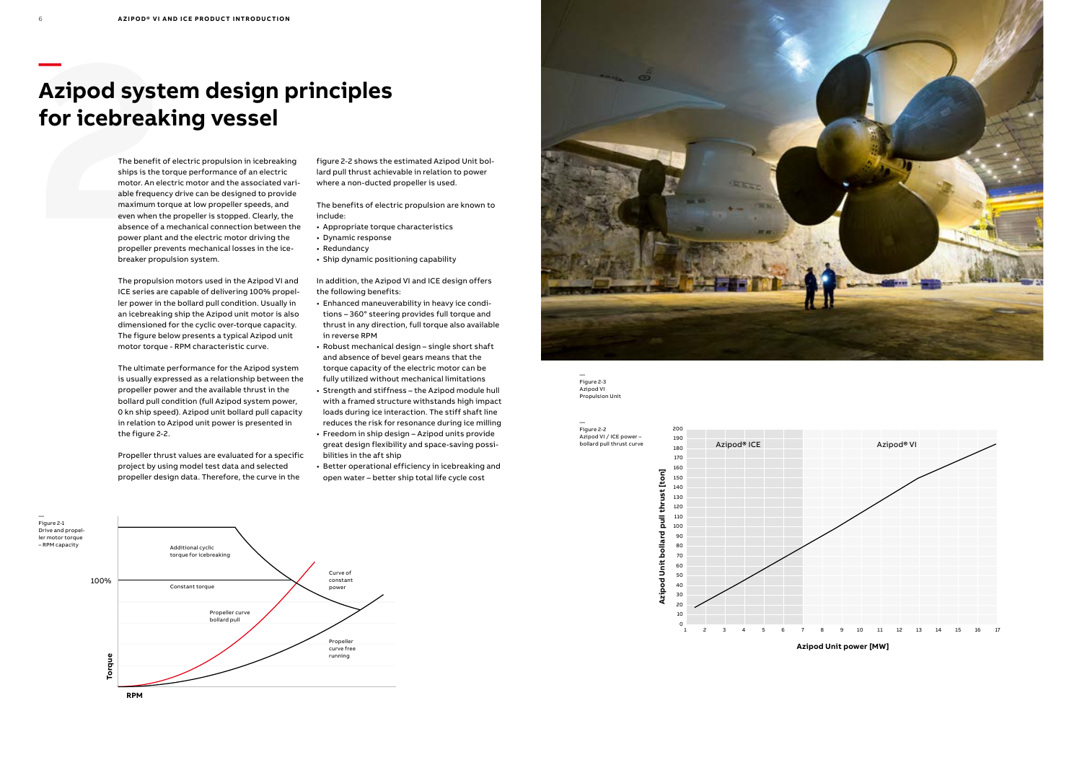

## **Azipod syst**<br>
for icebreal<br>
The benefit of ships is the t<br>
The benefit of ships is the t<br>
able frequen<br>
maximum to<br>
even when the absence of a<br>
power plant<br>
propeller pre **Azipod system design principles for icebreaking vessel**

The benefit of electric propulsion in icebreaking ships is the torque performance of an electric motor. An electric motor and the associated vari able frequency drive can be designed to provide maximum torque at low propeller speeds, and even when the propeller is stopped. Clearly, the absence of a mechanical connection between the power plant and the electric motor driving the propeller prevents mechanical losses in the ice breaker propulsion system.

The propulsion motors used in the Azipod VI and ICE series are capable of delivering 100% propel ler power in the bollard pull condition. Usually in an icebreaking ship the Azipod unit motor is also dimensioned for the cyclic over-torque capacity. The figure below presents a typical Azipod unit motor torque - RPM characteristic curve.

The ultimate performance for the Azipod system is usually expressed as a relationship between the propeller power and the available thrust in the bollard pull condition (full Azipod system power, 0 kn ship speed). Azipod unit bollard pull capacity in relation to Azipod unit power is presented in the figure 2-2.

Propeller thrust values are evaluated for a specific project by using model test data and selected propeller design data. Therefore, the curve in the

figure 2-2 shows the estimated Azipod Unit bol lard pull thrust achievable in relation to power where a non-ducted propeller is used.

> — Figure 2-3 Azipod VI **Propulsion Unit**

The benefits of electric propulsion are known to include:

- Appropriate torque characteristics
- Dynamic response
- Redundancy
- Ship dynamic positioning capability

In addition, the Azipod VI and ICE design offers the following benefits:

- Enhanced maneuverability in heavy ice condi tions – 360° steering provides full torque and thrust in any direction, full torque also available in reverse RPM
- Robust mechanical design single short shaft and absence of bevel gears means that the torque capacity of the electric motor can be fully utilized without mechanical limitations
- Strength and stiffness the Azipod module hull with a framed structure withstands high impact loads during ice interaction. The stiff shaft line reduces the risk for resonance during ice milling
- Freedom in ship design Azipod units provide great design flexibility and space-saving possi bilities in the aft ship
- Better operational efficiency in icebreaking and open water – better ship total life cycle cost

—

Figure 2-2 Azipod VI / ICE power – bollard pull thrust curve



**Azipod Unit power [MW]**

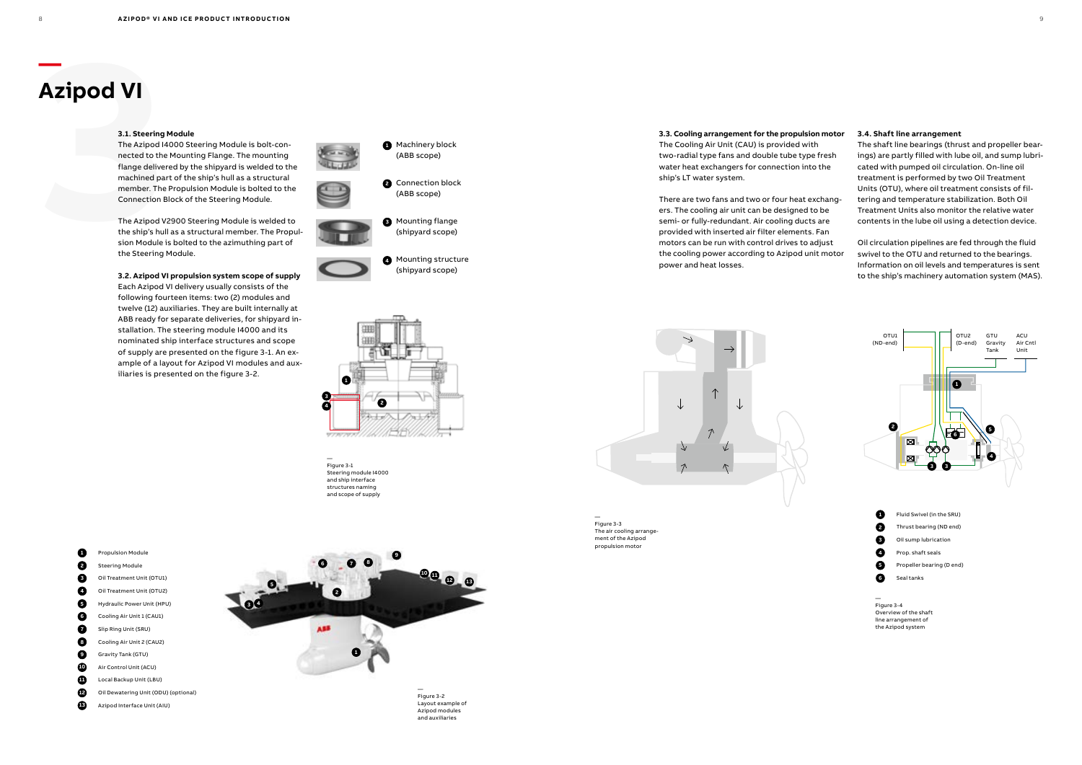

**1** Machinery block

**2** Connection block

(ABB scope)

**3** Mounting flange

(ABB scope)

**4** Mounting structure (shipyard scope)

(shipyard scope)

**Azipod VI**<br>
3.1. Steering<br>
The Azipod I<br>
mected to the flange delive<br>
machined pa<br>
member. The Connection<br>
The Azipod I<br>
the ship's hu sion Module<br>
the Steering The Azipod I4000 Steering Module is bolt-connected to the Mounting Flange. The mounting flange delivered by the shipyard is welded to the machined part of the ship's hull as a structural member. The Propulsion Module is bolted to the Connection Block of the Steering Module.

**—**

## **Azipod VI**

#### **3.1. Steering Module**



The Azipod V2900 Steering Module is welded to the ship's hull as a structural member. The Propulsion Module is bolted to the azimuthing part of the Steering Module.

**3.2. Azipod VI propulsion system scope of supply**  Each Azipod VI delivery usually consists of the following fourteen items: two (2) modules and twelve (12) auxiliaries. They are built internally at ABB ready for separate deliveries, for shipyard installation. The steering module I4000 and its nominated ship interface structures and scope of supply are presented on the figure 3-1. An example of a layout for Azipod VI modules and auxiliaries is presented on the figure 3-2.









— Figure 3-1 Steering module I4000 and ship interface structures naming and scope of supply



Figure 3-2 Layout example of Azipod modules and auxiliaries

#### **3.3. Cooling arrangement for the propulsion motor 3.4. Shaft line arrangement** The Cooling Air Unit (CAU) is provided with two-radial type fans and double tube type fresh water heat exchangers for connection into the

ship's LT water system.

There are two fans and two or four heat exchangers. The cooling air unit can be designed to be semi- or fully-redundant. Air cooling ducts are provided with inserted air filter elements. Fan

motors can be run with control drives to adjust the cooling power according to Azipod unit motor power and heat losses.

The shaft line bearings (thrust and propeller bearings) are partly filled with lube oil, and sump lubricated with pumped oil circulation. On-line oil treatment is performed by two Oil Treatment Units (OTU), where oil treatment consists of filtering and temperature stabilization. Both Oil Treatment Units also monitor the relative water contents in the lube oil using a detection device.

Oil circulation pipelines are fed through the fluid swivel to the OTU and returned to the bearings. Information on oil levels and temperatures is sent to the ship's machinery automation system (MAS).

— Figure 3-3 The air cooling arrangement of the Azipod propulsion motor

> — Figure 3-4 Overview of the shaft line arrangement of the Azipod system



 Fluid Swivel (in the SRU) Thrust bearing (ND end) Oil sump lubrication Prop. shaft seals Propeller bearing (D end) Seal tanks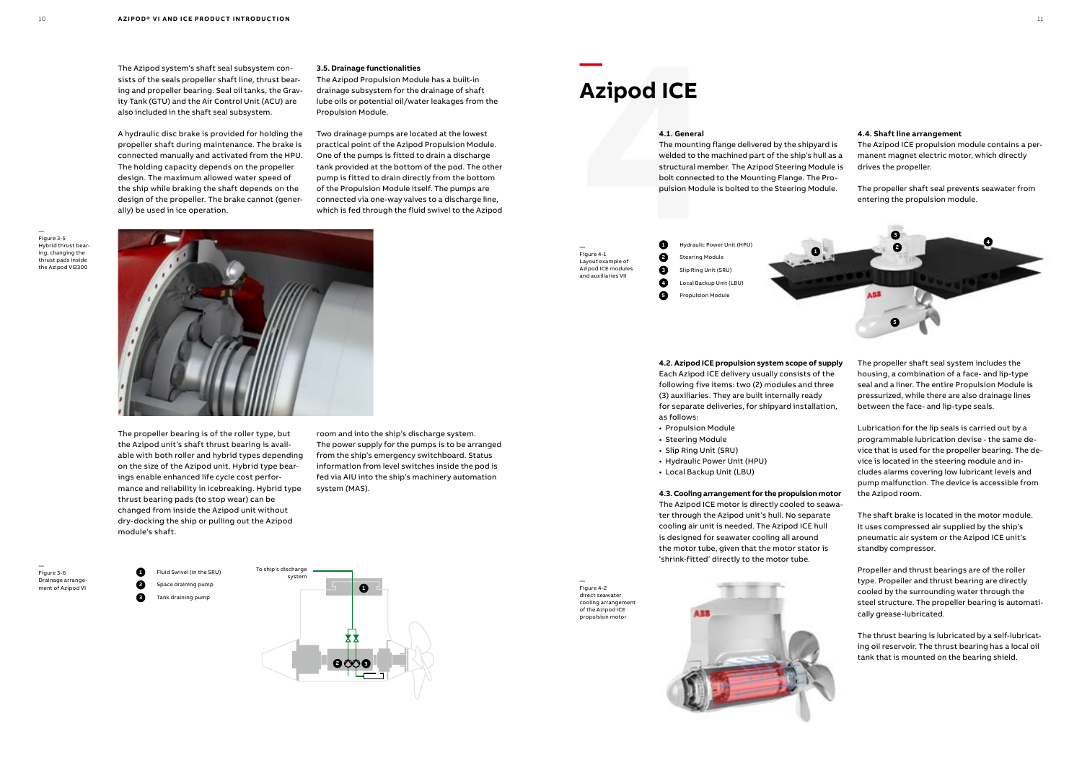**1** Fluid Swivel (in the SRU) To ship's discharge system<br>Space draining pump **2** Space draining pump **3** Tank draining pump



The Azipod system's shaft seal subsystem consists of the seals propeller shaft line, thrust bearing and propeller bearing. Seal oil tanks, the Gravity Tank (GTU) and the Air Control Unit (ACU) are also included in the shaft seal subsystem.

A hydraulic disc brake is provided for holding the propeller shaft during maintenance. The brake is connected manually and activated from the HPU. The holding capacity depends on the propeller design. The maximum allowed water speed of the ship while braking the shaft depends on the design of the propeller. The brake cannot (generally) be used in ice operation.

The propeller bearing is of the roller type, but the Azipod unit's shaft thrust bearing is available with both roller and hybrid types depending on the size of the Azipod unit. Hybrid type bearings enable enhanced life cycle cost performance and reliability in icebreaking. Hybrid type thrust bearing pads (to stop wear) can be changed from inside the Azipod unit without dry-docking the ship or pulling out the Azipod module's shaft.

#### **3.5. Drainage functionalities**

The Azipod Propulsion Module has a built-in drainage subsystem for the drainage of shaft lube oils or potential oil/water leakages from the Propulsion Module.

Two drainage pumps are located at the lowest practical point of the Azipod Propulsion Module. One of the pumps is fitted to drain a discharge tank provided at the bottom of the pod. The other pump is fitted to drain directly from the bottom of the Propulsion Module itself. The pumps are connected via one-way valves to a discharge line, which is fed through the fluid swivel to the Azipod

room and into the ship's discharge system. The power supply for the pumps is to be arranged from the ship's emergency switchboard. Status information from level switches inside the pod is fed via AIU into the ship's machinery automation system (MAS).

— Figure 3-6 Drainage arrangement of Azipod VI

— Figure 3-5 Hybrid thrust bearing, changing the thrust pads inside the Azipod VI2300



**—**

## **Azipod ICE**

#### **4.1. General**

— Figure 4-2 direct seawater cooling arrangement of the Azipod ICE propulsion motor

The mounting flange delivered by the shipyard is welded to the machined part of the ship's hull as a structural member. The Azipod Steering Module is bolt connected to the Mounting Flange. The Propulsion Module is bolted to the Steering Module.



#### **4.2. Azipod ICE propulsion system scope of supply**

Each Azipod ICE delivery usually consists of the following five items: two (2) modules and three (3) auxiliaries. They are built internally ready for separate deliveries, for shipyard installation, as follows:

- Propulsion Module
- Steering Module
- Slip Ring Unit (SRU)
- Hydraulic Power Unit (HPU)
- Local Backup Unit (LBU)

#### **4.3. Cooling arrangement for the propulsion motor**

The Azipod ICE motor is directly cooled to seawater through the Azipod unit's hull. No separate cooling air unit is needed. The Azipod ICE hull is designed for seawater cooling all around the motor tube, given that the motor stator is 'shrink-fitted' directly to the motor tube.

#### **4.4. Shaft line arrangement**

The Azipod ICE propulsion module contains a permanent magnet electric motor, which directly drives the propeller.

The propeller shaft seal prevents seawater from entering the propulsion module.

The propeller shaft seal system includes the housing, a combination of a face- and lip-type seal and a liner. The entire Propulsion Module is pressurized, while there are also drainage lines

between the face- and lip-type seals. Lubrication for the lip seals is carried out by a programmable lubrication devise - the same device that is used for the propeller bearing. The device is located in the steering module and includes alarms covering low lubricant levels and pump malfunction. The device is accessible from

the Azipod room.

The shaft brake is located in the motor module. It uses compressed air supplied by the ship's pneumatic air system or the Azipod ICE unit's standby compressor.

Propeller and thrust bearings are of the roller type. Propeller and thrust bearing are directly cooled by the surrounding water through the steel structure. The propeller bearing is automatically grease-lubricated.

The thrust bearing is lubricated by a self-lubricating oil reservoir. The thrust bearing has a local oil tank that is mounted on the bearing shield.



— Figure 4-1 Layout example of Azipod ICE modules and auxiliaries VII

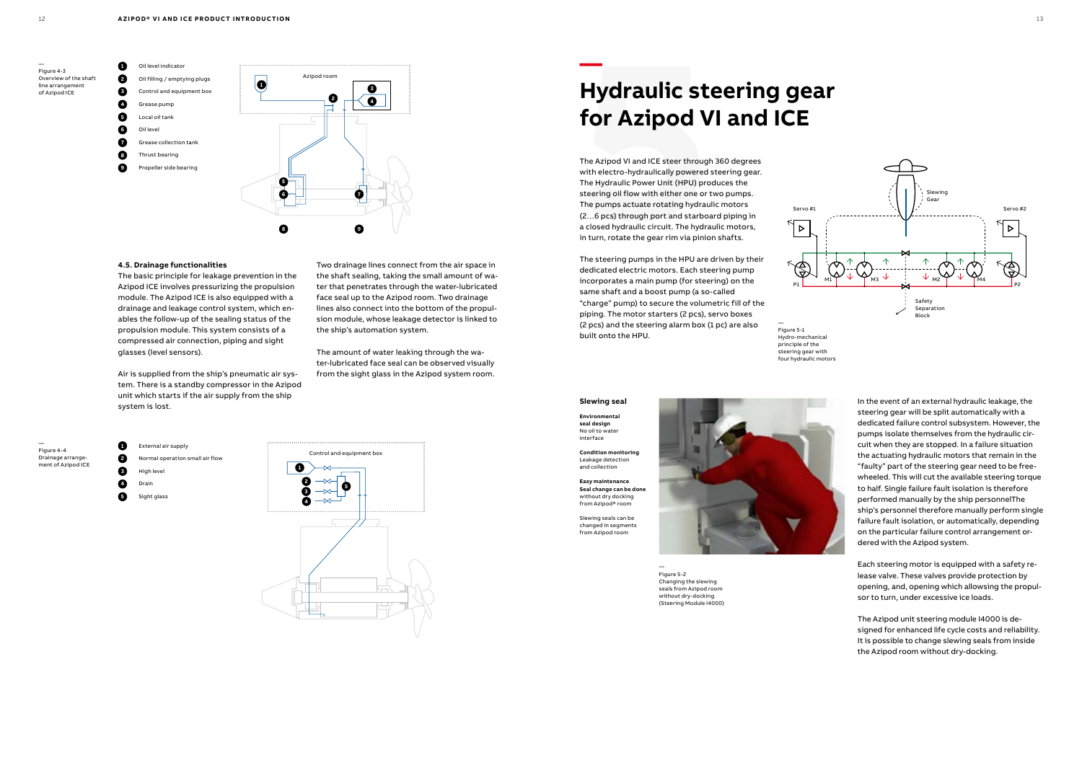





— Figure 4-4 Drainage arrangement of Azipod ICE

**1** External air supply

#### **2** Normal operation small air flow

- **3** High leve **4** Drain
- **5** Sight glass

#### **4.5. Drainage functionalities**

The basic principle for leakage prevention in the Azipod ICE involves pressurizing the propulsion module. The Azipod ICE is also equipped with a drainage and leakage control system, which enables the follow-up of the sealing status of the propulsion module. This system consists of a compressed air connection, piping and sight glasses (level sensors).

Air is supplied from the ship's pneumatic air system. There is a standby compressor in the Azipod unit which starts if the air supply from the ship system is lost.

**Hydraulic st**<br>**for Azipod V**<br>The Azipod VI and ICE steer through<br>with electro-hydraulically powered :<br>The Hydraulic Power Unit (HPU) pro<br>steering oil flow with either one or t<br>The pumps actuate rotating hydrau<br>(2...6 pcs) The Azipod VI and ICE steer through 360 degrees with electro-hydraulically powered steering gear. The Hydraulic Power Unit (HPU) produces the steering oil flow with either one or two pumps. The pumps actuate rotating hydraulic motors (2…6 pcs) through port and starboard piping in a closed hydraulic circuit. The hydraulic motors, in turn, rotate the gear rim via pinion shafts.

Two drainage lines connect from the air space in the shaft sealing, taking the small amount of water that penetrates through the water-lubricated face seal up to the Azipod room. Two drainage lines also connect into the bottom of the propulsion module, whose leakage detector is linked to the ship's automation system.

The amount of water leaking through the water-lubricated face seal can be observed visually from the sight glass in the Azipod system room. **—**

## **Hydraulic steering gear for Azipod VI and ICE**

— Figure 5-2 Changing the slewing seals from Azipod room without dry-docking (Steering Module I4000)

— Figure 5-1 Hydro-mechanical principle of the steering gear with four hydraulic motors

The steering pumps in the HPU are driven by their dedicated electric motors. Each steering pump incorporates a main pump (for steering) on the same shaft and a boost pump (a so-called "charge" pump) to secure the volumetric fill of the piping. The motor starters (2 pcs), servo boxes (2 pcs) and the steering alarm box (1 pc) are also built onto the HPU.



In the event of an external hydraulic leakage, the steering gear will be split automatically with a dedicated failure control subsystem. However, the pumps isolate themselves from the hydraulic circuit when they are stopped. In a failure situation the actuating hydraulic motors that remain in the "faulty" part of the steering gear need to be freewheeled. This will cut the available steering torque to half. Single failure fault isolation is therefore performed manually by the ship personnelThe ship's personnel therefore manually perform single failure fault isolation, or automatically, depending on the particular failure control arrangement ordered with the Azipod system.

Each steering motor is equipped with a safety release valve. These valves provide protection by opening, and, opening which allowsing the propulsor to turn, under excessive ice loads.

The Azipod unit steering module I4000 is designed for enhanced life cycle costs and reliability. It is possible to change slewing seals from inside the Azipod room without dry-docking.

#### **Slewing seal**

**Environmental seal design** No oil to water interface

**Condition monitoring** Leakage detection and collection

**Easy maintenance Seal change can be done** without dry docking from Azipod® room

Slewing seals can be changed in segments from Azipod room

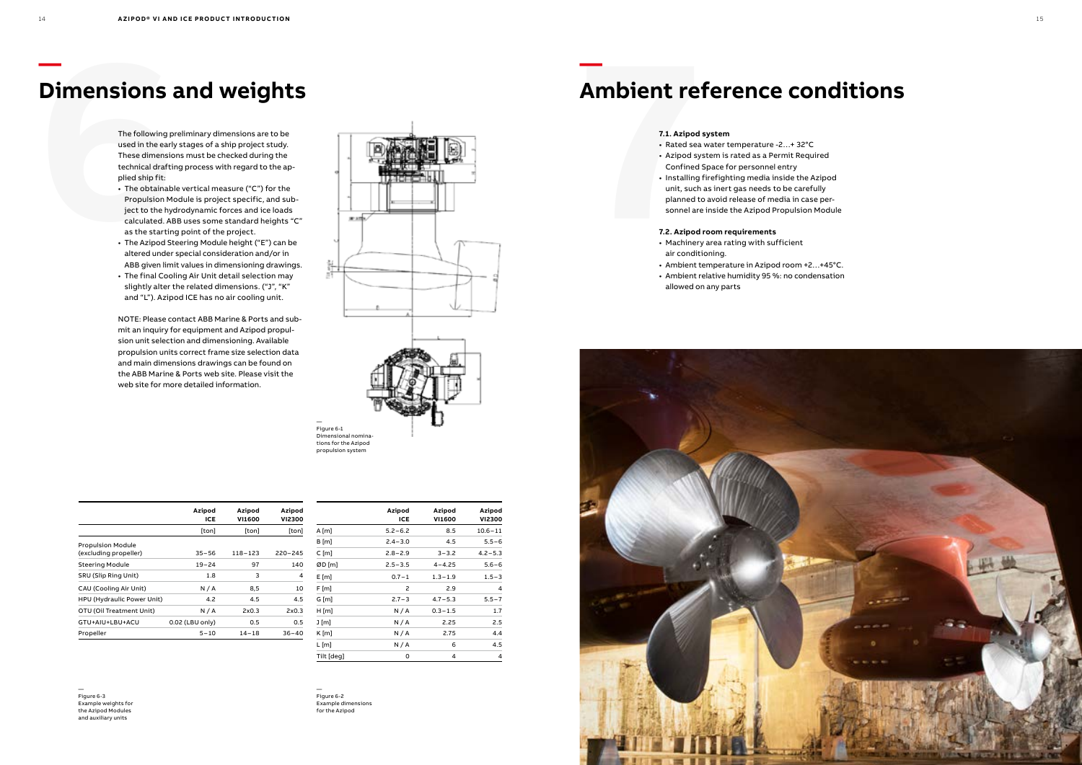

## **Dimensions and weights**

— Figure 6-3 Example weights for the Azipod Modules and auxiliary units

|            | Azipod<br>ICE | Azipod<br><b>VI1600</b> | Azipod<br><b>VI2300</b> |
|------------|---------------|-------------------------|-------------------------|
| $A$ [m]    | $5.2 - 6.2$   | 8.5                     | $10.6 - 11$             |
| B[m]       | $2.4 - 3.0$   | 4.5                     | $5.5 - 6$               |
| $C$ [m]    | $2.8 - 2.9$   | $3 - 3.2$               | $4.2 - 5.3$             |
| ØD [m]     | $2.5 - 3.5$   | $4 - 4.25$              | $5.6 - 6$               |
| E[m]       | $0.7 - 1$     | $1.3 - 1.9$             | $1.5 - 3$               |
| F [m]      | 2             | 2.9                     | 4                       |
| G [m]      | $2.7 - 3$     | $4.7 - 5.3$             | $5.5 - 7$               |
| H[m]       | N/A           | $0.3 - 1.5$             | 1.7                     |
| J [m]      | N/A           | 2.25                    | 2.5                     |
| $K$ [m]    | N/A           | 2.75                    | 4.4                     |
| L [m]      | N/A           | 6                       | 4.5                     |
| Tilt [deg] | 0             | 4                       | 4                       |

|                                                   | Azipod<br>ICE   | Azipod<br><b>VI1600</b> | Azipod<br><b>VI2300</b> |
|---------------------------------------------------|-----------------|-------------------------|-------------------------|
|                                                   | [ton]           | [ton]                   | [ton]                   |
| <b>Propulsion Module</b><br>(excluding propeller) | $35 - 56$       | $118 - 123$             | $220 - 245$             |
| <b>Steering Module</b>                            | $19 - 24$       | 97                      | 140                     |
| <b>SRU (Slip Ring Unit)</b>                       | 1.8             | 3                       | 4                       |
| CAU (Cooling Air Unit)                            | N/A             | 8,5                     | 10                      |
| HPU (Hydraulic Power Unit)                        | 4.2             | 4.5                     | 4.5                     |
| OTU (Oil Treatment Unit)                          | N/A             | 2x0.3                   | 2x0.3                   |
| GTU+AIU+LBU+ACU                                   | 0.02 (LBU only) | 0.5                     | 0.5                     |
| Propeller                                         | $5 - 10$        | $14 - 18$               | $36 - 40$               |
|                                                   |                 |                         |                         |

The following preliminary dimensions are to be used in the early stages of a ship project study. These dimensions must be checked during the technical drafting process with regard to the applied ship fit:

- The obtainable vertical measure ("C") for the Propulsion Module is project specific, and subject to the hydrodynamic forces and ice loads calculated. ABB uses some standard heights "C" as the starting point of the project.
- The Azipod Steering Module height ("E") can be altered under special consideration and/or in ABB given limit values in dimensioning drawings.
- The final Cooling Air Unit detail selection may slightly alter the related dimensions. ("J", "K" and "L"). Azipod ICE has no air cooling unit.

NOTE: Please contact ABB Marine & Ports and submit an inquiry for equipment and Azipod propulsion unit selection and dimensioning. Available propulsion units correct frame size selection data and main dimensions drawings can be found on the ABB Marine & Ports web site. Please visit the web site for more detailed information.

**—**

## **Ambient reference conditions**

#### **7.1. Azipod system**

- Rated sea water temperature -2…+ 32°C
- Azipod system is rated as a Permit Required Confined Space for personnel entry
- Installing firefighting media inside the Azipod unit, such as inert gas needs to be carefully planned to avoid release of media in case personnel are inside the Azipod Propulsion Module

#### **7.2. Azipod room requirements**

- Machinery area rating with sufficient air conditioning.
- Ambient temperature in Azipod room +2…+45°C.
- Ambient relative humidity 95 %: no condensation allowed on any parts



— Figure 6-2 Example dimensions for the Azipod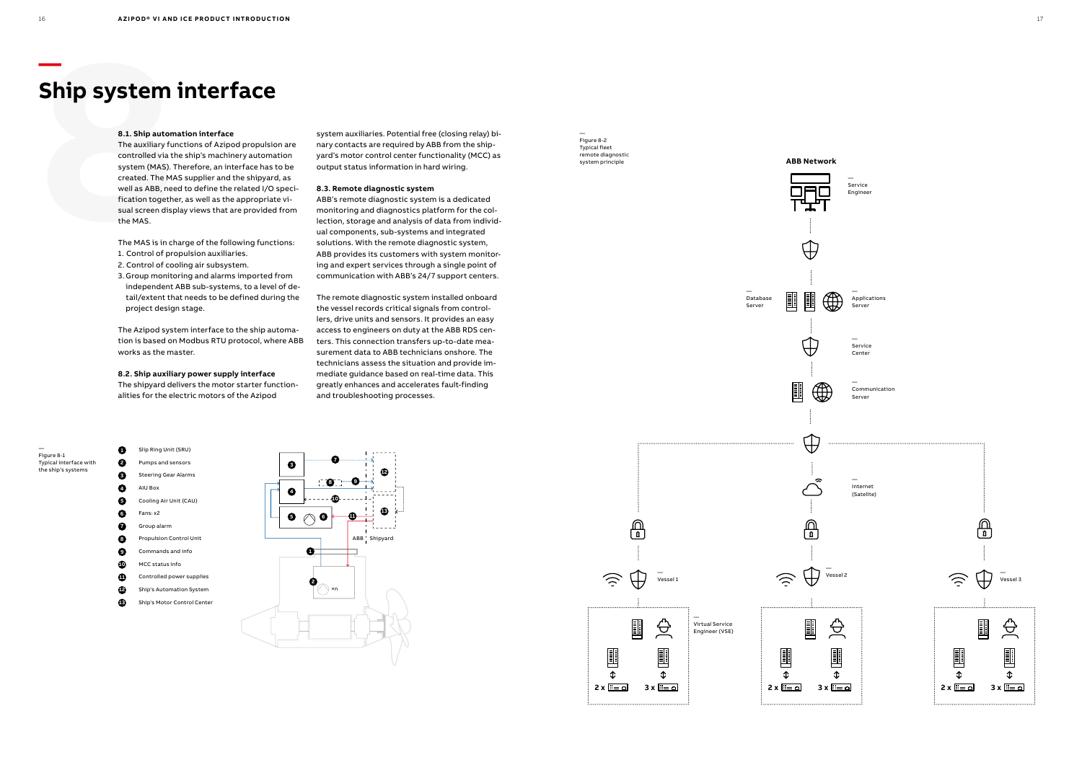



- **7** Group alarm
- **8** Propulsion Control Unit
- **9** Commands and info
- 
- **10** MCC status info
- **11** Controlled power supplies
- **12** Ship's Automation System
- **13** Ship's Motor Control Center



**Ship system**<br>
8.1. Ship autom<br>
The auxiliary funcontrolled via the system (MAS). T<br>
created. The MA<br>
well as ABB, nee<br>
fication togethe<br>
sual screen disp<br>
the MAS.<br>
The MAS is in ch<br>
1. Control of pro<br>
2. Control of co The auxiliary functions of Azipod propulsion are controlled via the ship's machinery automation system (MAS). Therefore, an interface has to be created. The MAS supplier and the shipyard, as well as ABB, need to define the related I/O specification together, as well as the appropriate visual screen display views that are provided from the MAS.

### **Ship system interface**

#### **8.1. Ship automation interface**

The MAS is in charge of the following functions:

- 1. Control of propulsion auxiliaries.
- 2. Control of cooling air subsystem.
- 3. Group monitoring and alarms imported from independent ABB sub-systems, to a level of detail/extent that needs to be defined during the project design stage.

The Azipod system interface to the ship automation is based on Modbus RTU protocol, where ABB works as the master.

#### **8.2. Ship auxiliary power supply interface**

Communication Serve

The shipyard delivers the motor starter functionalities for the electric motors of the Azipod

Service **Center** 

Service Engineer

system auxiliaries. Potential free (closing relay) binary contacts are required by ABB from the shipyard's motor control center functionality (MCC) as output status information in hard wiring.

#### **8.3. Remote diagnostic system**

ABB's remote diagnostic system is a dedicated monitoring and diagnostics platform for the collection, storage and analysis of data from individual components, sub-systems and integrated solutions. With the remote diagnostic system, ABB provides its customers with system monitoring and expert services through a single point of communication with ABB's 24/7 support centers.

The remote diagnostic system installed onboard the vessel records critical signals from controllers, drive units and sensors. It provides an easy access to engineers on duty at the ABB RDS centers. This connection transfers up-to-date measurement data to ABB technicians onshore. The technicians assess the situation and provide immediate guidance based on real-time data. This greatly enhances and accelerates fault-finding and troubleshooting processes.

— Figure 8-1 Typical interface with the ship's systems

— Figure 8-2 Typical fleet remote diagnostic

 $\bigoplus$ 

 $\overline{\bigoplus}$ 

圓

 $\widehat{\mathcal{L}}$ 

匪

 $\hat{L}$ 

Applications Server

Internet (Satelite)



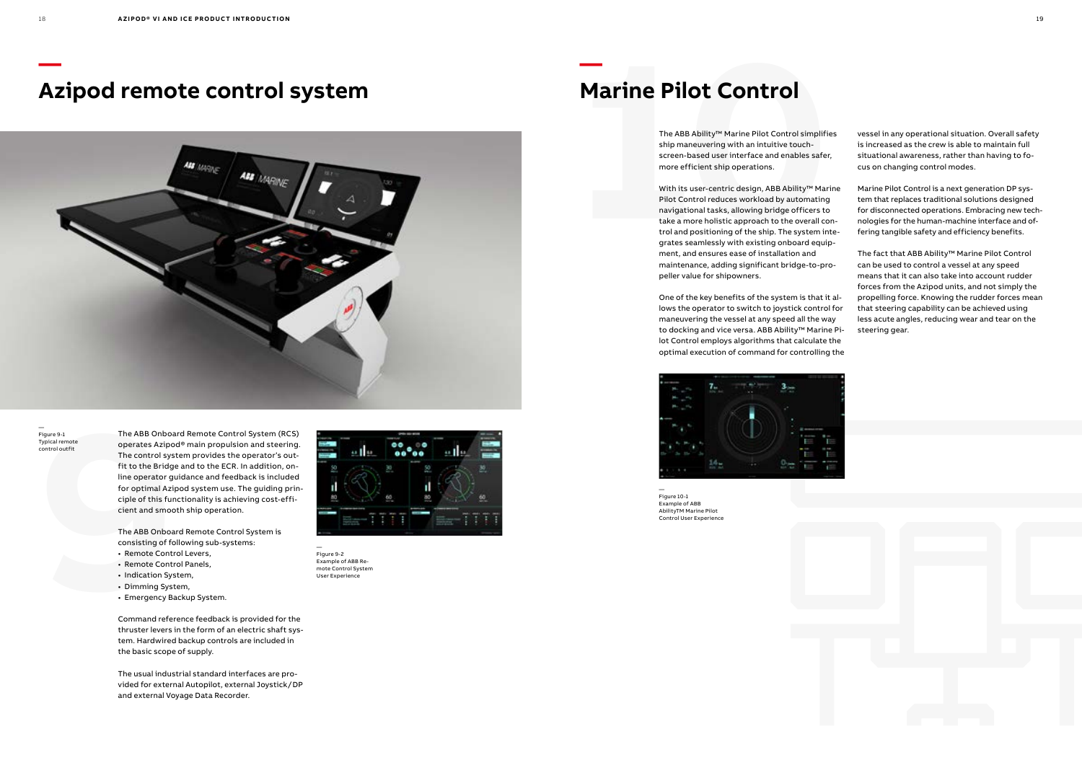## **— Azipod remote control system**



The ABB Onboar<br>
Typical remote<br>
control outfit<br>
The control sys<br>
fit to the Bridg<br>
line operator g<br>
for optimal Azi<br>
ciple of this fur<br>
cient and smood<br>
The ABB Onboa<br>
consisting of for<br>
Remote Control<br>
Remote Control<br>
Nat The ABB Onboard Remote Control System (RCS) operates Azipod® main propulsion and steering. The control system provides the operator's outfit to the Bridge and to the ECR. In addition, online operator guidance and feedback is included for optimal Azipod system use. The guiding principle of this functionality is achieving cost-efficient and smooth ship operation.

The ABB Onboard Remote Control System is consisting of following sub-systems:

- Remote Control Levers,
- Remote Control Panels,
- Indication System,
- Dimming System,
- Emergency Backup System.

Command reference feedback is provided for the thruster levers in the form of an electric shaft system. Hardwired backup controls are included in the basic scope of supply.

**Marine Pilot Control**<br>The ABB Ability<sup>rM</sup> Marine Pilot Control simplifies<br>ship manuevering with an intuitive touch-<br>screen-based user interface and enables safer,<br>more efficient ship operations.<br>With its user-centric desi With its user-centric design, ABB Ability™ Marine Pilot Control reduces workload by automating navigational tasks, allowing bridge officers to take a more holistic approach to the overall control and positioning of the ship. The system integrates seamlessly with existing onboard equipment, and ensures ease of installation and maintenance, adding significant bridge-to-propeller value for shipowners.

The usual industrial standard interfaces are provided for external Autopilot, external Joystick / DP and external Voyage Data Recorder.

— Figure 9-1 Typical remote control outfit



— Figure 9-2 Example of ABB Remote Control System User Experience

**—**



## **Marine Pilot Control**

The ABB Ability™ Marine Pilot Control simplifies ship maneuvering with an intuitive touchscreen-based user interface and enables safer, more efficient ship operations.

One of the key benefits of the system is that it allows the operator to switch to joystick control for maneuvering the vessel at any speed all the way to docking and vice versa. ABB Ability™ Marine Pilot Control employs algorithms that calculate the optimal execution of command for controlling the



— Figure 10-1 Example of ABB AbilityTM Marine Pilot Control User Experience

vessel in any operational situation. Overall safety is increased as the crew is able to maintain full situational awareness, rather than having to focus on changing control modes.

Marine Pilot Control is a next generation DP system that replaces traditional solutions designed for disconnected operations. Embracing new technologies for the human-machine interface and offering tangible safety and efficiency benefits.

The fact that ABB Ability™ Marine Pilot Control can be used to control a vessel at any speed means that it can also take into account rudder forces from the Azipod units, and not simply the propelling force. Knowing the rudder forces mean that steering capability can be achieved using less acute angles, reducing wear and tear on the steering gear.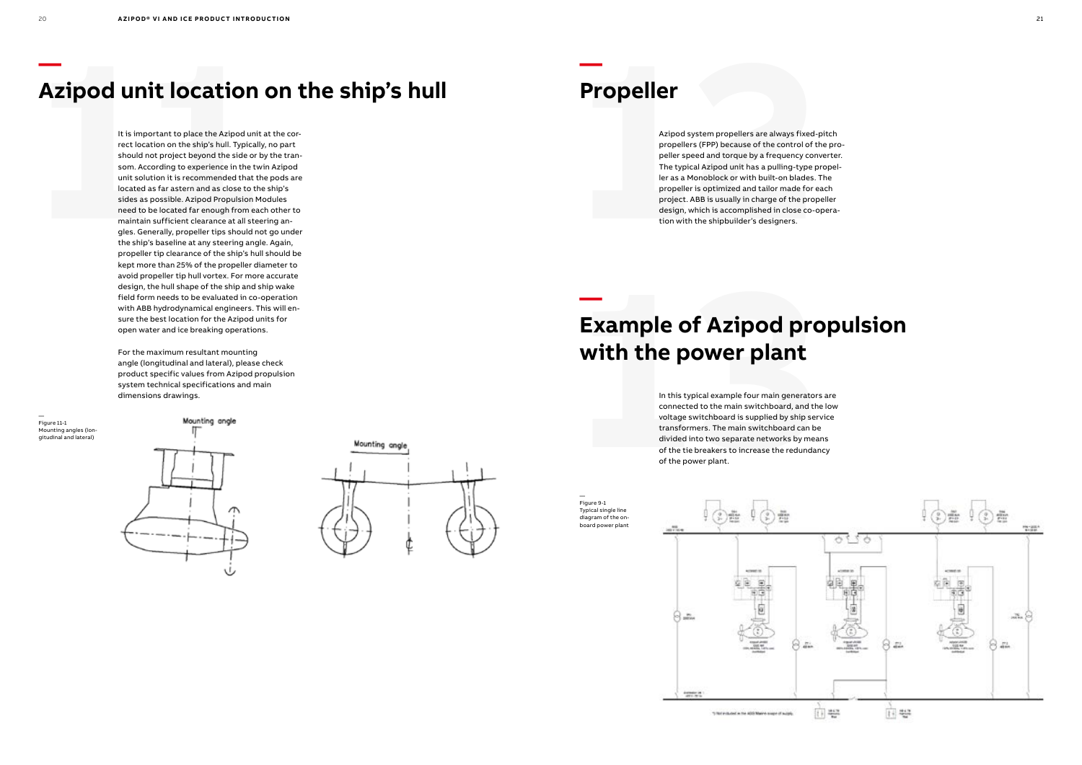### **Azipod unit location on the ship's hull**

**11 12** It is important to place the Azipod unit at the cor rect location on the ship's hull. Typically, no part should not project beyond the side or by the tran som. According to experience in the twin Azipod unit solution it is recommended that the pods are located as far astern and as close to the ship's sides as possible. Azipod Propulsion Modules need to be located far enough from each other to maintain sufficient clearance at all steering an gles. Generally, propeller tips should not go under the ship's baseline at any steering angle. Again, propeller tip clearance of the ship's hull should be kept more than 25% of the propeller diameter to avoid propeller tip hull vortex. For more accurate design, the hull shape of the ship and ship wake field form needs to be evaluated in co-operation with ABB hydrodynamical engineers. This will en sure the best location for the Azipod units for open water and ice breaking operations.

## Example of Azipod pro<br>
with the power plant<br>
In this typical example four main generator<br>
connected to the main switchboard, and the<br>
voltage switchboard is supplied by ship ser<br>
transformers. The main switchboard can b<br>
d **Example of Azipod propulsion with the power plant**

For the maximum resultant mounting angle (longitudinal and lateral), please check product specific values from Azipod propulsion system technical specifications and main dimensions drawings.

— Figure 11-1 Mounting angles (lon gitudinal and lateral)





**— Propeller**

> Azipod system propellers are always fixed-pitch propellers (FPP) because of the control of the pro peller speed and torque by a frequency converter. The typical Azipod unit has a pulling-type propel ler as a Monoblock or with built-on blades. The propeller is optimized and tailor made for each project. ABB is usually in charge of the propeller design, which is accomplished in close co-opera tion with the shipbuilder's designers.

**—**



In this typical example four main generators are connected to the main switchboard, and the low voltage switchboard is supplied by ship service transformers. The main switchboard can be divided into two separate networks by means of the tie breakers to increase the redundancy of the power plant.

— Figure 9-1 Typical single line diagram of the on board power plant